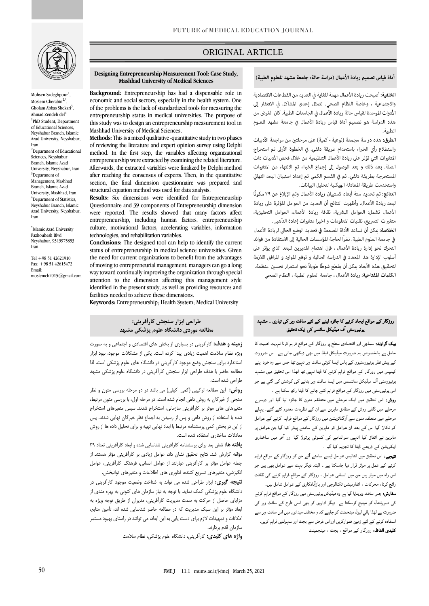

Mohsen Sadeghpour<sup>1</sup>, Moslem Cherabin $<sup>2</sup>$ </sup> , Gholam Abbas Shekari<sup>3</sup>, Ahmad Zendeh del<sup>4</sup> <sup>1</sup>PhD Student, Department of Educational Sciences, Neyshabur Branch, Islamic Azad University, Neyshabur, Iran <sup>2</sup>Department of Educational Sciences, Neyshabur Branch, Islamic Azad University, Neyshabur, Iran <sup>3</sup>Department of Management, Mashhad Branch, Islamic Azad University, Mashhad, Iran <sup>4</sup>Department of Statistics, Neyshabur Branch, Islamic Azad University, Neyshabur, Iran

\* Islamic Azad University Pazhouhesh Blvd. Neyshabur, 9319975853 Iran

[Tel +98 51 42621910](tel:+9851%2042621910) Fax: +98 51 42615472 Email: moslemch2015@gmail.com

50

# ORIGINAL ARTICLE

## أداة قياس تصميم ريادة الأعمال (دراسة حالة: جامعة مشهد للعلوم الطبية)

ص

**Designing Entrepreneurship Measurement Tool: Case Study, Mashhad University of Medical Sciences**

**Background:** Entrepreneurship has had a dispensable role in economic and social sectors, especially in the health system. One of the problems is the lack of standardized tools for measuring the entrepreneurship status in medical universities. The purpose of this study was to design an entrepreneurship measurement tool in Mashhad University of Medical Sciences.

**Methods:** This is a mixed qualitative -quantitative study in two phases of reviewing the literature and expert opinion survey using Delphi method. In the first step, the variables affecting organizational entrepreneurship were extracted by examining the related literature. Afterwards, the extracted variables were finalized by Delphi method after reaching the consensus of experts. Then, in the quantitative section, the final dimension questionnaire was prepared and structural equation method was used for data analysis.

**Results:** Six dimensions were identified for Entrepreneurship Questionnaire and 39 components of Entrepreneurship dimension were reported. The results showed that many factors affect entrepreneurship, including human factors, entrepreneurship culture, motivational factors, accelerating variables, information technologies, and rehabilitation variables.

**Conclusions:** The designed tool can help to identify the current status of entrepreneurship in medical science universities. Given the need for current organizations to benefit from the advantages of moving to entrepreneurial management, managers can go a long way toward continually improving the organization through special attention to the dimension affecting this management style identified in the present study, as well as providing resources and facilities needed to achieve these dimensions.

**Keywords:** Entrepreneurship; Health System; Medical University

### **طراحی ابزار سنجش کارآفرینی: مطالعه موردی دانشگاه علوم پزشکی مشهد**

**زمینه و هدف:** کارآفرینی در بسیاری از بخش های اقتصادی و اجتماعی و به صورت ویژه نظام سالمت اهمیت زیادی پیدا کرده است. یکی از مشکالت موجود، نبود ابزار استاندارد برای سنجش وضع موجود کارآفرینی در دانشگاه های علوم پزشکی است. لذا مطالعه حاضر با هدف طراحی ابزار سنجش کارآفرینی در دانشگاه علوم پزشکی مشهد طراحی شده است.

**روش:** این مطالعه ترکیبی )کمی-کیفی( می باشد در دو مرحله بررسی متون و نظر سنجی از خبرگان به روش دلفی انجام شده است. در مرحله اول، با بررسی متون مرتبط، متغیرهای های موثر بر کارآفرینی سازمانی، استخراج شدند. سپس متغیرهای استخراج شده با استفاده از روش دلفی و پس از رسیدن به اجماع نظر خبرگان نهایی شدند. پس از این در بخش کمی پرسشنامه مرتبط با ابعاد نهایی تهیه و برای تحلیل داده ها از روش معادالت ساختاری استفاده شده است.

**یافته ها:** شش بعد برای پرسشنامه کارآفرینی شناسایی شده و ابعاد کارآفرینی تعداد 39 مؤلفه گزارش شد. نتایج تحقیق نشان داد، عوامل زیادی بر کارآفرینی مؤثر هستند از جمله عوامل مؤثر بر کارآفرینی عبارتند از عوامل انسانی، فرهنگ کارآفرینی، عوامل انگیزشی، متغیرهای تسریع کننده، فناوری های اطالعات و متغیرهای توانبخش.

**نتیجه گیری:** ابزار طراحی شده می تواند به شناخت وضعیت موجود کارآفرینی در دانشگاه علوم پزشکی کمک نماید. با توجه به نیاز سازمان های کنونی به بهره مندی از مزایای حاصل از حرکت به سمت مدیریت کارآفرینی، مدیران از طریق توجه ویژه به ابعاد مؤثر بر این سبک مدیریت که در مطالعه حاضر شناسایی شده اند، تأمین منابع، امکانات و تمهیدات الزم برای دست یابی به این ابعاد، می توانند در راستای بهبود مستمر سازمان قدم بردارند.

**واژه های کلیدی:** کارآفرینی، دانشگاه علوم پزشکی، نظام سالمت

الخلفية: أصبحت ريادة الأعمال مهمة للغاية في العديد من القطاعات الاقتصادية والاجتماعية ، وخاصة النظام الصحى. تتمثل إحدى المشاكل في الافتقار إلى الأدوات الموحدة لقياس حالة ريادة الأعمال في الجامعات الطبية. كان الغرض من هذه الدراسة هو تصميم أداة قياس ريادة الأعمال في جامعة مشهد للعلوم الطسة.

**الطرق:** هذه دراسة مجمعة (نوعية - كمية) على مرحلتين من مراجعة الأدبيات واستطلاع رأى الخبراء باستخدام طريقة دلفي. في الخطوة الأولى تم استخراج المتغيرات التي تؤثر على ريادة الأعمال التنظيمية من خلال فحص الأدبيات ذات الصلة. بعد ذلك و بعد الوصول إلى إجماع الخبراء تم الانتهاء من المتغيرات المستخرجة بطريقة دلفي. ثم في القسم الكمي تم إعداد استبيان البعد النهائي واستخدمت طريقة المعادلة الهيكلية لتحليل البيانات.

**النتائج:** تم تحديد ستة أبعاد لاستبيان ريادة الأعمال وتم الإبلاغ عن ٣٩ مكونًا لبعد ريادة الأعمال. وأظهرت النتائج أن العديد من العوامل المؤثرة على ريادة الأعمال تشمل: العوامل البشرية، ثقافة ريادة الأعمال، العوامل التحفيزية، متغيرات التسريع، تقنيات المعلومات و اخيرا متغيرات إعادة التأهيل.

**الخلاصة:** عِكن أن تساعد الأداة المصممة في تحديد الوضع الحالي لريادة الأعمال في جامعة العلوم الطبية. نظراً لحاجة المؤسسات الحالية إلى الاستفادة من فوائد التحرك نحو إدارة ريادة الأعمال ، فإن اهتمام المديرين للبعد الذي يؤثر على أسلوب الإدارة هذا المحدد في الدراسة الحالية و توفير الموارد و المرافق اللازمة لتحقيق هذه الأبعاد عكن أن يقطع شوطًا طويلاً نحو استمرار تحسين المنظمة. **الكلمات المفتاحية:** ريادة الأعمال ، جامعة العلوم الطبية ، النظام الصحي

## روزگار کے مواقع ایجاد کرنے کا جائزہ لینے کے لئے سافٹ ویر کی تیاری ۔ مشہد یونیورسٹی آف میڈیکل سائنس کی ایک تحقیق

بیک گراوند: سماجی اور اقتصادی سطح پر روزگار کے مواقع فراہم کرنا نہایت اھمیت کا حامل ہے بالخصوص یہ ضرورت میڈیکل فیلڈ میں بھی دیکھی جاتی ہے۔ اس ضرورت کے پیش نظر یونیورسٹیوں کے پاس ایسا کوئي سافٹ ویر نہین تھا جس سے وہ خود اپنے کیمپس میں روزگار کے مواقع فراہم کرنے کا ڈیٹا نہیں تھا لھذا اس تحقیق میں مشہد یونیورسٹی ا ف میڈیکل سائںسس میں ایسا سافٹ ویر بنانے کی کوشش کی گئي ہے جو اس یونیورسٹی میں روزگار کے مواقع فراہم کئے جانے کا ڈیٹا رکھ سکتا ہے ۔

روش: اس تحقیق میں ایک مرحلے میں متعلقہ متون کا جائزہ لیا گيا اور دوسرے مرحلے میں ڈلفی روش کے مطابق ماہرین سے ان کے نظریات معلوم کئے گئے۔ پہلے مرحلے میں متعلقہمتون سے ا رگںائزیشن میں روزگار کے مواقع فراہم کرنے کے عوامل کو نکالا گيا اس کے بعد ان عوامل کو ماہرین کے سامنے پیش کیا گيا جن عوامل پر ماہرین نے اتفاق کیا انہیں سوالنامے کی کسوٹی پرتولا گیا اور ا خر میں ساختاری ایکویشن کے ذریعے ڈیٹا کا تجزیہ کیا گیا ۔

نتیجے: اس تحقیق میں انتالیس عوامل ایسے سامنے ا ئے جن کو روزگار کے مواقع فراہم کرنے کے عمل پر موثر قرار دیا جاسکتا ہے ۔ البتہ دیگر بہت سے عوامل بھی ہیں جو اس راہ میں موثر ہیں جن میں انسانی عوامل ، روزگار کے مواقع فراہم کرنے کی ثقافت رائج کرنا، محرکات ، انفارمیشن ٹکنالوجی اور بازا بادکاری کے عوامل شامل ہیں۔

سفارش:جس سافٹ ویربنایا گيا ہے وہ میڈیکل یونیورسٹی میں روزگار کے مواقع فراہم کرنے کی صورتحال کو مینیج کرسکتا ہے۔ دیگر اداروں کو بھی اسی طرح کے سافٹ ویر کی ضرورت ہے لھذا ہائي لیول مینجمنٹ کو چاہیے کہ و مختلف میدانوں میں اس سافٹ ویر سے استفادہ کرنے کے لئے زمین ھموارکریں اوراس غرض سے بجٹ اور سہولتیں فراہم کریں۔ کلیدی الفاظ: روزگار کے مواقع ، بجٹ ، مینجمینٹ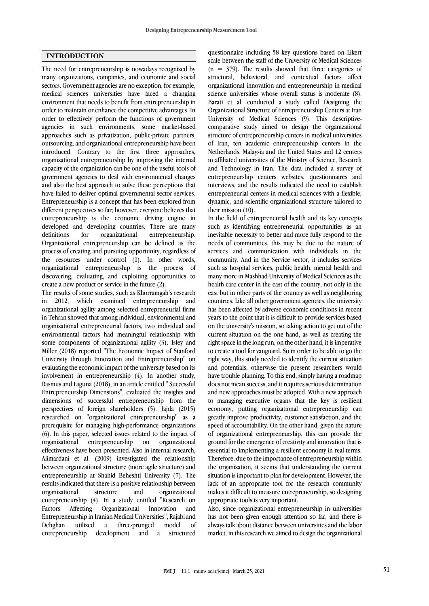### **INTRODUCTION**

The need for entrepreneurship is nowadays recognized by many organizations, companies, and economic and social sectors. Government agencies are no exception, for example, medical sciences universities have faced a changing environment that needs to benefit from entrepreneurship in order to maintain or enhance the competitive advantages. In order to effectively perform the functions of government agencies in such environments, some market-based approaches such as privatization, public-private partners, outsourcing, and organizational entrepreneurship have been introduced. Contrary to the first three approaches, organizational entrepreneurship by improving the internal capacity of the organization can be one of the useful tools of government agencies to deal with environmental changes and also the best approach to solve these perceptions that have failed to deliver optimal governmental sector services. Entrepreneurship is a concept that has been explored from different perspectives so far; however, everyone believes that entrepreneurship is the economic driving engine in developed and developing countries. There are many definitions for organizational entrepreneurship. Organizational entrepreneurship can be defined as the process of creating and pursuing opportunity, regardless of the resources under control (1). In other words, organizational entrepreneurship is the process of discovering, evaluating, and exploiting opportunities to create a new product or service in the future (2).

The results of some studies, such as Khorramgah's research in 2012, which examined entrepreneurship and organizational agility among selected entrepreneurial firms in Tehran showed that among individual, environmental and organizational entrepreneurial factors, two individual and environmental factors had meaningful relationship with some components of organizational agility (3). Isley and Miller (2018) reported "The Economic Impact of Stanford University through Innovation and Entrepreneurship" on evaluating the economic impact of the university based on its involvement in entrepreneurship (4). In another study, Rasmus and Laguna (2018), in an article entitled '' Successful Entrepreneurship Dimensions'', evaluated the insights and dimensions of successful entrepreneurship from the perspectives of foreign shareholders (5). Jajda (2015) researched on ''organizational entrepreneurship'' as a prerequisite for managing high-performance organizations (6). In this paper, selected issues related to the impact of organizational entrepreneurship on organizational effectiveness have been presented. Also in internal research, Alimardani et al. (2009) investigated the relationship between organizational structure (more agile structure) and entrepreneurship at Shahid Beheshti University (7). The results indicated that there is a positive relationship between organizational structure and organizational entrepreneurship (4). In a study entitled "Research on Factors Affecting Organizational Innovation and Entrepreneurship in Iranian Medical Universities", Rajabi and Dehghan utilized a three-pronged model of entrepreneurship development and a structured

questionnaire including 58 key questions based on Likert scale between the staff of the University of Medical Sciences  $(n = 379)$ . The results showed that three categories of structural, behavioral, and contextual factors affect organizational innovation and entrepreneurship in medical science universities whose overall status is moderate (8). Barati et al. conducted a study called Designing the Organizational Structure of Entrepreneurship Centers at Iran University of Medical Sciences (9). This descriptivecomparative study aimed to design the organizational structure of entrepreneurship centers in medical universities of Iran, ten academic entrepreneurship centers in the Netherlands, Malaysia and the United States and 12 centers in affiliated universities of the Ministry of Science, Research and Technology in Iran. The data included a survey of entrepreneurship centers websites, questionnaires and interviews, and the results indicated the need to establish entrepreneurial centers in medical sciences with a flexible, dynamic, and scientific organizational structure tailored to their mission (10).

In the field of entrepreneurial health and its key concepts such as identifying entrepreneurial opportunities as an inevitable necessity to better and more fully respond to the needs of communities, this may be due to the nature of services and communication with individuals in the community. And in the Service sector, it includes services such as hospital services, public health, mental health and many more in Mashhad University of Medical Sciences as the health care center in the east of the country, not only in the east but in other parts of the country as well as neighboring countries. Like all other government agencies, the university has been affected by adverse economic conditions in recent years to the point that it is difficult to provide services based on the university's mission, so taking action to get out of the current situation on the one hand, as well as creating the right space in the long run, on the other hand, it is imperative to create a tool for vanguard. So in order to be able to go the right way, this study needed to identify the current situation and potentials, otherwise the present researchers would have trouble planning. To this end, simply having a roadmap does not mean success, and it requires serious determination and new approaches must be adopted. With a new approach to managing executive organs that the key is resilient economy, putting organizational entrepreneurship can greatly improve productivity, customer satisfaction, and the speed of accountability. On the other hand, given the nature of organizational entrepreneurship, this can provide the ground for the emergence of creativity and innovation that is essential to implementing a resilient economy in real terms. Therefore, due to the importance of entrepreneurship within the organization, it seems that understanding the current situation is important to plan for development. However, the lack of an appropriate tool for the research community makes it difficult to measure entrepreneurship, so designing appropriate tools is very important.

Also, since organizational entrepreneurship in universities has not been given enough attention so far, and there is always talk about distance between universities and the labor market, in this research we aimed to design the organizational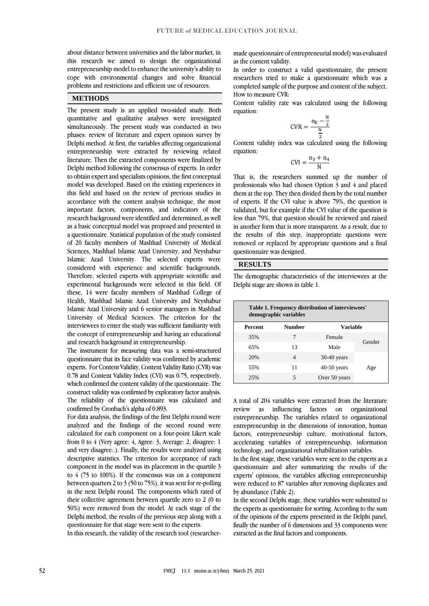about distance between universities and the labor market, in this research we aimed to design the organizational entrepreneurship model to enhance the university's ability to cope with environmental changes and solve financial problems and restrictions and efficient use of resources.

#### **METHODS**

The present study is an applied two-sided study. Both quantitative and qualitative analyses were investigated simultaneously. The present study was conducted in two phases: review of literature and expert opinion survey by Delphi method. At first, the variables affecting organizational entrepreneurship were extracted by reviewing related literature. Then the extracted components were finalized by Delphi method following the consensus of experts. In order to obtain expert and specialists opinions, the first conceptual model was developed. Based on the existing experiences in this field and based on the review of previous studies in accordance with the content analysis technique, the most important factors, components, and indicators of the research background were identified and determined, as well as a basic conceptual model was proposed and presented in a questionnaire. Statistical population of the study consisted of 20 faculty members of Mashhad University of Medical Sciences, Mashhad Islamic Azad University, and Neyshabur Islamic Azad University. The selected experts were considered with experience and scientific backgrounds. Therefore, selected experts with appropriate scientific and experimental backgrounds were selected in this field. Of these, 14 were faculty members of Mashhad College of Health, Mashhad Islamic Azad University and Neyshabur Islamic Azad University and 6 senior managers in Mashhad University of Medical Sciences. The criterion for the interviewees to enter the study was sufficient familiarity with the concept of entrepreneurship and having an educational and research background in entrepreneurship.

The instrument for measuring data was a semi-structured questionnaire that its face validity was confirmed by academic experts. For Content Validity, Content Validity Ratio (CVR) was 0.78 and Content Validity Index (CVI) was 0.75, respectively, which confirmed the content validity of the questionnaire. The construct validity was confirmed by exploratory factor analysis. The reliability of the questionnaire was calculated and confirmed by Cronbach's alpha of 0.893.

For data analysis, the findings of the first Delphi round were analyzed and the findings of the second round were calculated for each component on a four-point Likert scale from 0 to 4 (Very agree: 4, Agree: 3, Average: 2, disagree: 1 and very disagree:.). Finally, the results were analyzed using descriptive statistics. The criterion for acceptance of each component in the model was its placement in the quartile 3 to 4 (75 to 100%). If the consensus was on a component between quarters 2 to 3 (50 to 75%), it was sent for re-polling in the next Delphi round. The components which rated of their collective agreement between quartile zero to 2 (0 to 50%) were removed from the model. At each stage of the Delphi method, the results of the previous step along with a questionnaire for that stage were sent to the experts.

In this research, the validity of the research tool (researcher-

made questionnaire of entrepreneurial model) was evaluated as the content validity.

In order to construct a valid questionnaire, the present researchers tried to make a questionnaire which was a completed sample of the purpose and content of the subject. How to measure CVR:

Content validity rate was calculated using the following equation:

$$
CVR = \frac{n_E - \frac{N}{2}}{\frac{N}{2}}
$$

Content validity index was calculated using the following equation:

$$
CVI = \frac{n_3 + n_4}{N}
$$

That is, the researchers summed up the number of professionals who had chosen Option 3 and 4 and placed them at the top. They then divided them by the total number of experts. If the CVI value is above 79%, the question is validated, but for example if the CVI value of the question is less than 79%, that question should be reviewed and raised in another form that is more transparent. As a result, due to the results of this step, inappropriate questions were removed or replaced by appropriate questions and a final questionnaire was designed.

## **RESULTS**

The demographic characteristics of the interviewees at the Delphi stage are shown in table 1.

| Table 1. Frequency distribution of interviewees'<br>demographic variables |               |               |        |  |  |  |
|---------------------------------------------------------------------------|---------------|---------------|--------|--|--|--|
| <b>Percent</b>                                                            | <b>Number</b> | Variable      |        |  |  |  |
| 35%                                                                       | 7             | Female        | Gender |  |  |  |
| 65%                                                                       | 13            | Male          |        |  |  |  |
| 20%                                                                       | 4             | $30-40$ years | Age    |  |  |  |
| 55%                                                                       | 11            | $40-50$ years |        |  |  |  |
| 25%                                                                       | 5             | Over 50 years |        |  |  |  |

A total of 204 variables were extracted from the literature review as influencing factors on organizational entrepreneurship. The variables related to organizational entrepreneurship in the dimensions of innovation, human factors, entrepreneurship culture, motivational factors, accelerating variables of entrepreneurship, information technology, and organizational rehabilitation variables.

In the first stage, these variables were sent to the experts as a questionnaire and after summarizing the results of the experts' opinions, the variables affecting entrepreneurship were reduced to 87 variables after removing duplicates and by abundance (Table 2).

In the second Delphi stage, these variables were submitted to the experts as questionnaire for sorting. According to the sum of the opinions of the experts presented in the Delphi panel, finally the number of 6 dimensions and 33 components were extracted as the final factors and components.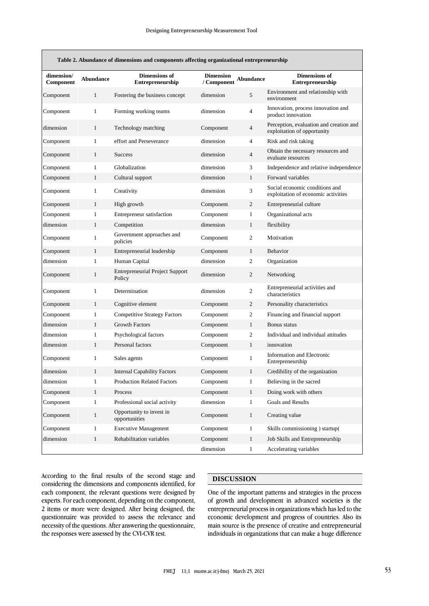| Table 2. Abundance of dimensions and components affecting organizational entrepreneurship |                  |                                                  |                                 |                |                                                                        |  |
|-------------------------------------------------------------------------------------------|------------------|--------------------------------------------------|---------------------------------|----------------|------------------------------------------------------------------------|--|
| dimension/<br>Component                                                                   | <b>Abundance</b> | <b>Dimensions of</b><br>Entrepreneurship         | <b>Dimension</b><br>/ Component | Abundance      | <b>Dimensions of</b><br>Entrepreneurship                               |  |
| Component                                                                                 | $\mathbf{1}$     | Fostering the business concept                   | dimension                       | 5              | Environment and relationship with<br>environment                       |  |
| Component                                                                                 | $\mathbf{1}$     | Forming working teams                            | dimension                       | $\overline{4}$ | Innovation, process innovation and<br>product innovation               |  |
| dimension                                                                                 | 1                | Technology matching                              | Component                       | $\overline{4}$ | Perception, evaluation and creation and<br>exploitation of opportunity |  |
| Component                                                                                 | 1                | effort and Perseverance                          | dimension                       | $\overline{4}$ | Risk and risk taking                                                   |  |
| Component                                                                                 | 1                | <b>Success</b>                                   | dimension                       | $\overline{4}$ | Obtain the necessary resources and<br>evaluate resources               |  |
| Component                                                                                 | 1                | Globalization                                    | dimension                       | 3              | Independence and relative independence                                 |  |
| Component                                                                                 | 1                | Cultural support                                 | dimension                       | $\mathbf{1}$   | Forward variables                                                      |  |
| Component                                                                                 | $\mathbf{1}$     | Creativity                                       | dimension                       | 3              | Social economic conditions and<br>exploitation of economic activities  |  |
| Component                                                                                 | $\mathbf{1}$     | High growth                                      | Component                       | 2              | Entrepreneurial culture                                                |  |
| Component                                                                                 | $\mathbf{1}$     | Entrepreneur satisfaction                        | Component                       | $\mathbf{1}$   | Organizational acts                                                    |  |
| dimension                                                                                 | $\mathbf{1}$     | Competition                                      | dimension                       | $\mathbf{1}$   | flexibility                                                            |  |
| Component                                                                                 | $\mathbf{1}$     | Government approaches and<br>policies            | Component                       | 2              | Motivation                                                             |  |
| Component                                                                                 | $\mathbf{1}$     | Entrepreneurial leadership                       | Component                       | $\mathbf{1}$   | Behavior                                                               |  |
| dimension                                                                                 | 1                | Human Capital                                    | dimension                       | 2              | Organization                                                           |  |
| Component                                                                                 | $\mathbf{1}$     | <b>Entrepreneurial Project Support</b><br>Policy | dimension                       | 2              | Networking                                                             |  |
| Component                                                                                 | $\mathbf{1}$     | Determination                                    | dimension                       | $\mathbf{2}$   | Entrepreneurial activities and<br>characteristics                      |  |
| Component                                                                                 | $\mathbf{1}$     | Cognitive element                                | Component                       | 2              | Personality characteristics                                            |  |
| Component                                                                                 | 1                | <b>Competitive Strategy Factors</b>              | Component                       | 2              | Financing and financial support                                        |  |
| dimension                                                                                 | $\mathbf{1}$     | <b>Growth Factors</b>                            | Component                       | $\mathbf{1}$   | Bonus status                                                           |  |
| dimension                                                                                 | 1                | Psychological factors                            | Component                       | 2              | Individual and individual attitudes                                    |  |
| dimension                                                                                 | $\mathbf{1}$     | Personal factors                                 | Component                       | $\mathbf{1}$   | innovation                                                             |  |
| Component                                                                                 | $\mathbf{1}$     | Sales agents                                     | Component                       | $\mathbf{1}$   | Information and Electronic<br>Entrepreneurship                         |  |
| dimension                                                                                 | $\mathbf{1}$     | <b>Internal Capability Factors</b>               | Component                       | $\mathbf{1}$   | Credibility of the organization                                        |  |
| dimension                                                                                 | 1                | Production Related Factors                       | Component                       | $\mathbf{I}$   | Believing in the sacred                                                |  |
| Component                                                                                 | $\mathbf{1}$     | Process                                          | Component                       | $\mathbf{1}$   | Doing work with others                                                 |  |
| Component                                                                                 | $\mathbf{1}$     | Professional social activity                     | dimension                       | $\mathbf{1}$   | Goals and Results                                                      |  |
| Component                                                                                 | $\mathbf{1}$     | Opportunity to invest in<br>opportunities        | Component                       | $\mathbf{1}$   | Creating value                                                         |  |
| Component                                                                                 | $\mathbf{1}$     | <b>Executive Management</b>                      | Component                       | $\mathbf{1}$   | Skills commissioning ) startup(                                        |  |
| dimension                                                                                 | $\mathbf{1}$     | Rehabilitation variables                         | Component                       | $\mathbf{1}$   | Job Skills and Entrepreneurship                                        |  |
|                                                                                           |                  |                                                  | dimension                       | $\mathbf{1}$   | Accelerating variables                                                 |  |

According to the final results of the second stage and considering the dimensions and components identified, for each component, the relevant questions were designed by experts. For each component, depending on the component, 2 items or more were designed. After being designed, the questionnaire was provided to assess the relevance and necessity of the questions. After answering the questionnaire, the responses were assessed by the CVI-CVR test.

# **DISCUSSION**

One of the important patterns and strategies in the process of growth and development in advanced societies is the entrepreneurial process in organizations which has led to the economic development and progress of countries. Also its main source is the presence of creative and entrepreneurial individuals in organizations that can make a huge difference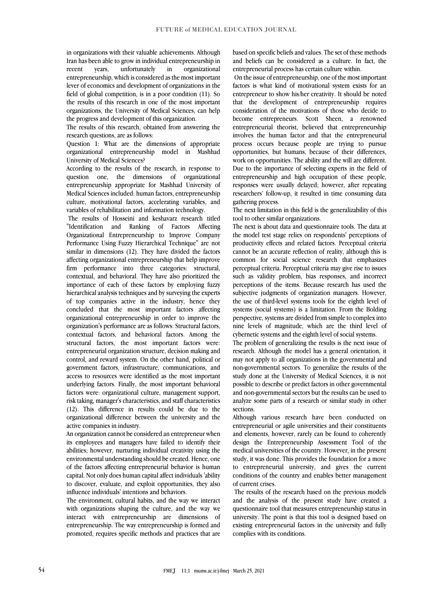in organizations with their valuable achievements. Although Iran has been able to grow in individual entrepreneurship in recent years, unfortunately in organizational entrepreneurship, which is considered as the most important lever of economics and development of organizations in the field of global competition, is in a poor condition (11). So the results of this research in one of the most important organizations, the University of Medical Sciences, can help the progress and development of this organization.

The results of this research, obtained from answering the research questions, are as follows:

Question 1: What are the dimensions of appropriate organizational entrepreneurship model in Mashhad University of Medical Sciences?

According to the results of the research, in response to question one, the dimensions of organizational entrepreneurship appropriate for Mashhad University of Medical Sciences included: human factors, entrepreneurship culture, motivational factors, accelerating variables, and variables of rehabilitation and information technology.

The results of Hosseini and keshavarz research titled "Identification and Ranking of Factors Affecting Organizational Entrepreneurship to Improve Company Performance Using Fuzzy Hierarchical Technique" are not similar in dimensions (12). They have divided the factors affecting organizational entrepreneurship that help improve firm performance into three categories: structural, contextual, and behavioral. They have also prioritized the importance of each of these factors by employing fuzzy hierarchical analysis techniques and by surveying the experts of top companies active in the industry, hence they concluded that the most important factors affecting organizational entrepreneurship in order to improve the organization's performance are as follows: Structural factors, contextual factors, and behavioral factors. Among the structural factors, the most important factors were: entrepreneurial organization structure, decision making and control, and reward system. On the other hand, political or government factors, infrastructure, communications, and access to resources were identified as the most important underlying factors. Finally, the most important behavioral factors were: organizational culture, management support, risk taking, manager's characteristics, and staff characteristics (12). This difference in results could be due to the organizational difference between the university and the active companies in industry.

An organization cannot be considered an entrepreneur when its employees and managers have failed to identify their abilities; however, nurturing individual creativity using the environmental understanding should be created. Hence, one of the factors affecting entrepreneurial behavior is human capital. Not only does human capital affect individuals 'ability to discover, evaluate, and exploit opportunities, they also influence individuals' intentions and behaviors.

The environment, cultural habits, and the way we interact with organizations shaping the culture, and the way we interact with entrepreneurship are dimensions of entrepreneurship. The way entrepreneurship is formed and promoted, requires specific methods and practices that are based on specific beliefs and values. The set of these methods and beliefs can be considered as a culture. In fact, the entrepreneurial process has certain culture within.

On the issue of entrepreneurship, one of the most important factors is what kind of motivational system exists for an entrepreneur to show his/her creativity. It should be noted that the development of entrepreneurship requires consideration of the motivations of those who decide to become entrepreneurs. Scott Sheen, a renowned entrepreneurial theorist, believed that entrepreneurship involves the human factor and that the entrepreneurial process occurs because people are trying to pursue opportunities, but humans, because of their differences, work on opportunities. The ability and the will are different. Due to the importance of selecting experts in the field of entrepreneurship and high occupation of these people, responses were usually delayed; however, after repeating researchers' follow-up, it resulted in time consuming data gathering process.

The next limitation in this field is the generalizability of this tool to other similar organizations.

The next is about data and questionnaire tools. The data at the model test stage relies on respondents' perceptions of productivity effects and related factors. Perceptual criteria cannot be an accurate reflection of reality, although this is common for social science research that emphasizes perceptual criteria. Perceptual criteria may give rise to issues such as validity problem, bias responses, and incorrect perceptions of the items. Because research has used the subjective judgments of organization managers. However, the use of third-level systems tools for the eighth level of systems (social systems) is a limitation. From the Bolding perspective, systems are divided from simple to complex into nine levels of magnitude, which are the third level of cybernetic systems and the eighth level of social systems.

The problem of generalizing the results is the next issue of research. Although the model has a general orientation, it may not apply to all organizations in the governmental and non-governmental sectors. To generalize the results of the study done at the University of Medical Sciences, it is not possible to describe or predict factors in other governmental and non-governmental sectors but the results can be used to analyze some parts of a research or similar study in other sections.

Although various research have been conducted on entrepreneurial or agile universities and their constituents and elements, however, rarely can be found to coherently design the Entrepreneurship Assessment Tool of the medical universities of the country. However, in the present study, it was done. This provides the foundation for a move to entrepreneurial university, and gives the current conditions of the country and enables better management of current crises.

The results of the research based on the previous models and the analysis of the present study have created a questionnaire tool that measures entrepreneurship status in university. The point is that this tool is designed based on existing entrepreneurial factors in the university and fully complies with its conditions.